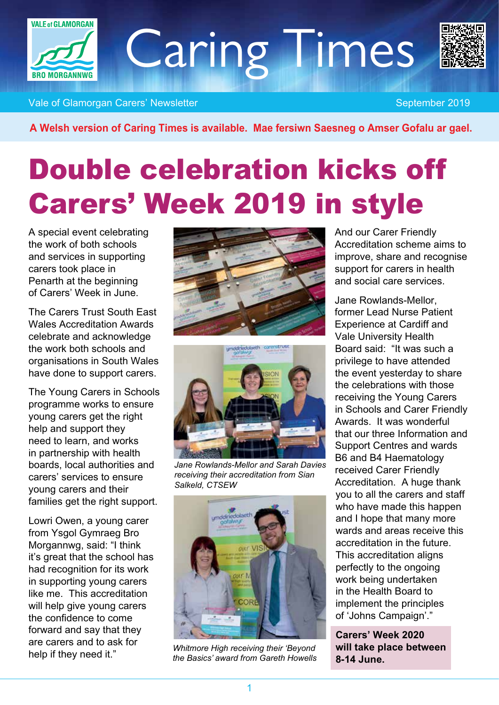

Caring Times



Vale of Glamorgan Carers' Newsletter September 2019

*A Welsh version of Caring Times is available. Mae fersiwn Saesneg o Amser Gofalu ar gael.*

# Double celebration kicks off Carers' Week 2019 in style

*A special event celebrating the work of both schools and services in supporting carers took place in Penarth at the beginning of Carers' Week in June.*

*The Carers Trust South East Wales Accreditation Awards celebrate and acknowledge the work both schools and organisations in South Wales have done to support carers.*

*The Young Carers in Schools programme works to ensure young carers get the right help and support they need to learn, and works in partnership with health boards, local authorities and carers' services to ensure young carers and their families get the right support.*

*Lowri Owen, a young carer from Ysgol Gymraeg Bro Morgannwg, said: "I think it's great that the school has had recognition for its work in supporting young carers like me. This accreditation will help give young carers the confidence to come forward and say that they are carers and to ask for help if they need it."*





*Jane Rowlands-Mellor and Sarah Davies receiving their accreditation from Sian Salkeld, CTSEW*



*Whitmore High receiving their 'Beyond the Basics' award from Gareth Howells*

*And our Carer Friendly Accreditation scheme aims to improve, share and recognise support for carers in health and social care services.*

*Jane Rowlands-Mellor, former Lead Nurse Patient Experience at Cardiff and Vale University Health Board said: "It was such a privilege to have attended the event yesterday to share the celebrations with those receiving the Young Carers in Schools and Carer Friendly Awards. It was wonderful that our three Information and Support Centres and wards B6 and B4 Haematology received Carer Friendly Accreditation. A huge thank you to all the carers and staff who have made this happen and I hope that many more wards and areas receive this accreditation in the future. This accreditation aligns perfectly to the ongoing work being undertaken in the Health Board to implement the principles of 'Johns Campaign'."*

*Carers' Week 2020 will take place between 8-14 June.*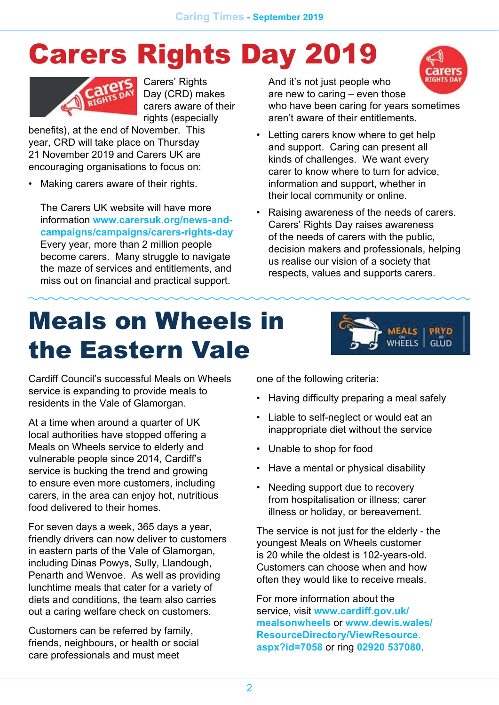# Carers Rights Day 2019



*Carers' Rights Day (CRD) makes carers aware of their rights (especially* 

*benefits), at the end of November. This year, CRD will take place on Thursday 21 November 2019 and Carers UK are encouraging organisations to focus on:*

*• Making carers aware of their rights.*

*The Carers UK website will have more information www.carersuk.org/news-andcampaigns/campaigns/carers-rights-day Every year, more than 2 million people become carers. Many struggle to navigate the maze of services and entitlements, and miss out on financial and practical support.*

*And it's not just people who are new to caring – even those* 



*who have been caring for years sometimes aren't aware of their entitlements.*

- *• Letting carers know where to get help and support. Caring can present all kinds of challenges. We want every carer to know where to turn for advice, information and support, whether in their local community or online.*
- *• Raising awareness of the needs of carers. Carers' Rights Day raises awareness of the needs of carers with the public, decision makers and professionals, helping us realise our vision of a society that respects, values and supports carers.*

# Meals on Wheels in the Eastern Vale



*Cardiff Council's successful Meals on Wheels service is expanding to provide meals to residents in the Vale of Glamorgan.*

*At a time when around a quarter of UK local authorities have stopped offering a Meals on Wheels service to elderly and vulnerable people since 2014, Cardiff's service is bucking the trend and growing to ensure even more customers, including carers, in the area can enjoy hot, nutritious food delivered to their homes.*

*For seven days a week, 365 days a year, friendly drivers can now deliver to customers in eastern parts of the Vale of Glamorgan, including Dinas Powys, Sully, Llandough, Penarth and Wenvoe. As well as providing lunchtime meals that cater for a variety of diets and conditions, the team also carries out a caring welfare check on customers.*

*Customers can be referred by family, friends, neighbours, or health or social care professionals and must meet* 

*one of the following criteria:*

- *• Having difficulty preparing a meal safely*
- *• Liable to self-neglect or would eat an inappropriate diet without the service*
- *• Unable to shop for food*
- *• Have a mental or physical disability*
- *• Needing support due to recovery from hospitalisation or illness; carer illness or holiday, or bereavement.*

*The service is not just for the elderly - the youngest Meals on Wheels customer is 20 while the oldest is 102-years-old. Customers can choose when and how often they would like to receive meals.*

*For more information about the service, visit www.cardiff.gov.uk/ mealsonwheels or [www.dewis.wales/](http://www.dewis.wales/ResourceDirectory/ViewResource.aspx?id=7058) [ResourceDirectory/ViewResource.](http://www.dewis.wales/ResourceDirectory/ViewResource.aspx?id=7058) [aspx?id=7058](http://www.dewis.wales/ResourceDirectory/ViewResource.aspx?id=7058) or ring 02920 537080.*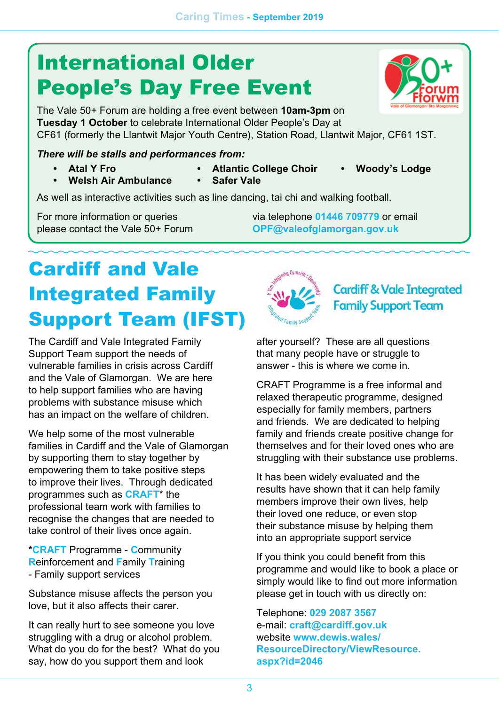## International Older People's Day Free Event

*The Vale 50+ Forum are holding a free event between 10am-3pm on Tuesday 1 October to celebrate International Older People's Day at CF61 (formerly the Llantwit Major Youth Centre), Station Road, Llantwit Major, CF61 1ST.*

#### *There will be stalls and performances from:*

*• Atal Y Fro*

- *• Atlantic College Choir*
- *• Woody's Lodge*
- 
- *• Safer Vale*
- 
- *• Welsh Air Ambulance*
- 

*As well as interactive activities such as line dancing, tai chi and walking football.*

*For more information or queries please contact the Vale 50+ Forum*  *via telephone 01446 709779 or email OPF@valeofglamorgan.gov.uk* 

## Cardiff and Vale Integrated Family Support Team (IFST)

*The Cardiff and Vale Integrated Family Support Team support the needs of vulnerable families in crisis across Cardiff and the Vale of Glamorgan. We are here to help support families who are having problems with substance misuse which has an impact on the welfare of children.*

*We help some of the most vulnerable families in Cardiff and the Vale of Glamorgan by supporting them to stay together by empowering them to take positive steps to improve their lives. Through dedicated programmes such as CRAFT\* the professional team work with families to recognise the changes that are needed to take control of their lives once again.*

*\*CRAFT Programme - Community Reinforcement and Family Training - Family support services*

*Substance misuse affects the person you love, but it also affects their carer.*

*It can really hurt to see someone you love struggling with a drug or alcohol problem. What do you do for the best? What do you say, how do you support them and look* 



**Cardiff & Vale Integrated Family Support Team** 

*after yourself? These are all questions that many people have or struggle to answer - this is where we come in.*

*CRAFT Programme is a free informal and relaxed therapeutic programme, designed especially for family members, partners and friends. We are dedicated to helping family and friends create positive change for themselves and for their loved ones who are struggling with their substance use problems.*

*It has been widely evaluated and the results have shown that it can help family members improve their own lives, help their loved one reduce, or even stop their substance misuse by helping them into an appropriate support service*

*If you think you could benefit from this programme and would Iike to book a place or simply would like to find out more information please get in touch with us directly on:*

*Telephone: 029 2087 3567 e-mail: craft@cardiff.gov.uk website [www.dewis.wales/](http://www.dewis.wales/ResourceDirectory/ViewResource.aspx?id=2046) [ResourceDirectory/ViewResource.](http://www.dewis.wales/ResourceDirectory/ViewResource.aspx?id=2046) [aspx?id=2046](http://www.dewis.wales/ResourceDirectory/ViewResource.aspx?id=2046)*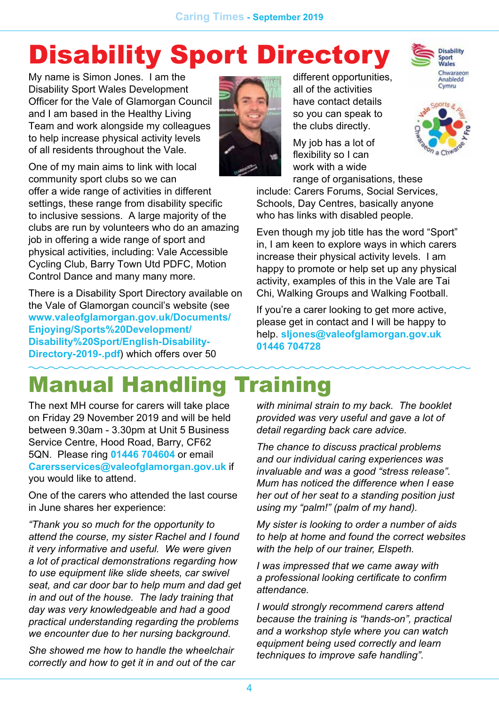# Disability Sport Directory

*My name is Simon Jones. I am the Disability Sport Wales Development Officer for the Vale of Glamorgan Council and I am based in the Healthy Living Team and work alongside my colleagues to help increase physical activity levels of all residents throughout the Vale.* 

*One of my main aims to link with local community sport clubs so we can offer a wide range of activities in different settings, these range from disability specific to inclusive sessions. A large majority of the clubs are run by volunteers who do an amazing job in offering a wide range of sport and physical activities, including: Vale Accessible Cycling Club, Barry Town Utd PDFC, Motion Control Dance and many many more.* 

*There is a Disability Sport Directory available on the Vale of Glamorgan council's website (see [www.valeofglamorgan.gov.uk/Documents/](http://www.valeofglamorgan.gov.uk/Documents/Enjoying/Sports%20Development/Disability%20Sport/English-Disability-Directory-2019-.pdf) [Enjoying/Sports%20Development/](http://www.valeofglamorgan.gov.uk/Documents/Enjoying/Sports%20Development/Disability%20Sport/English-Disability-Directory-2019-.pdf) [Disability%20Sport/English-Disability-](http://www.valeofglamorgan.gov.uk/Documents/Enjoying/Sports%20Development/Disability%20Sport/English-Disability-Directory-2019-.pdf)[Directory-2019-.pdf](http://www.valeofglamorgan.gov.uk/Documents/Enjoying/Sports%20Development/Disability%20Sport/English-Disability-Directory-2019-.pdf)) which offers over 50* 

*different opportunities, all of the activities have contact details so you can speak to the clubs directly.* 

*My job has a lot of flexibility so I can work with a wide range of organisations, these* 



**Disability** Sport<br>Wales



*include: Carers Forums, Social Services, Schools, Day Centres, basically anyone who has links with disabled people.*

*Even though my job title has the word "Sport" in, I am keen to explore ways in which carers increase their physical activity levels. I am happy to promote or help set up any physical activity, examples of this in the Vale are Tai Chi, Walking Groups and Walking Football.*

*If you're a carer looking to get more active, please get in contact and I will be happy to help. sljones@valeofglamorgan.gov.uk 01446 704728*

### Manual Handling Training

*The next MH course for carers will take place on Friday 29 November 2019 and will be held between 9.30am - 3.30pm at Unit 5 Business Service Centre, Hood Road, Barry, CF62 5QN. Please ring 01446 704604 or email Carersservices@valeofglamorgan.gov.uk if you would like to attend.*

*One of the carers who attended the last course in June shares her experience:*

*"Thank you so much for the opportunity to attend the course, my sister Rachel and I found it very informative and useful. We were given a lot of practical demonstrations regarding how to use equipment like slide sheets, car swivel seat, and car door bar to help mum and dad get in and out of the house. The lady training that day was very knowledgeable and had a good practical understanding regarding the problems we encounter due to her nursing background.*

*She showed me how to handle the wheelchair correctly and how to get it in and out of the car* 

*with minimal strain to my back. The booklet provided was very useful and gave a lot of detail regarding back care advice.*

*The chance to discuss practical problems and our individual caring experiences was invaluable and was a good "stress release". Mum has noticed the difference when I ease her out of her seat to a standing position just using my "palm!" (palm of my hand).* 

*My sister is looking to order a number of aids to help at home and found the correct websites with the help of our trainer, Elspeth.*

*I was impressed that we came away with a professional looking certificate to confirm attendance.*

*I would strongly recommend carers attend because the training is "hands-on", practical and a workshop style where you can watch equipment being used correctly and learn techniques to improve safe handling".*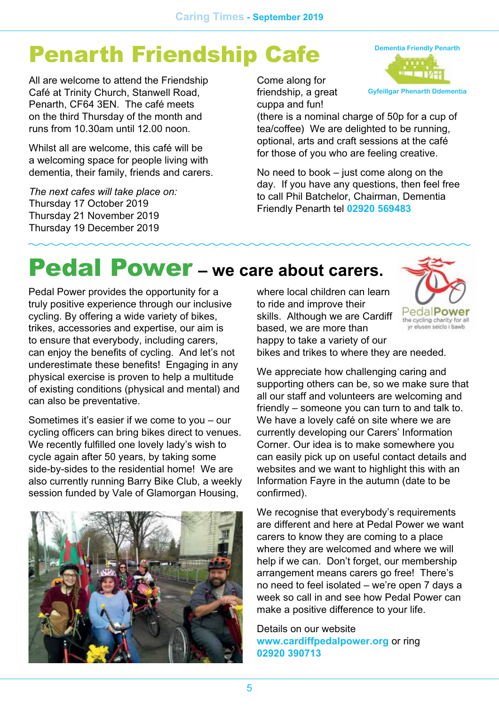## Penarth Friendship Cafe

*All are welcome to attend the Friendship Café at Trinity Church, Stanwell Road, Penarth, CF64 3EN. The café meets on the third Thursday of the month and runs from 10.30am until 12.00 noon.*

*Whilst all are welcome, this café will be a welcoming space for people living with dementia, their family, friends and carers.*

*The next cafes will take place on: Thursday 17 October 2019 Thursday 21 November 2019 Thursday 19 December 2019*

*Come along for friendship, a great cuppa and fun!* 

*(there is a nominal charge of 50p for a cup of tea/coffee) We are delighted to be running, optional, arts and craft sessions at the café for those of you who are feeling creative.*

*No need to book – just come along on the day. If you have any questions, then feel free to call Phil Batchelor, Chairman, Dementia Friendly Penarth tel 02920 569483*

## Pedal Power *– we care about carers.*

*Pedal Power provides the opportunity for a truly positive experience through our inclusive cycling. By offering a wide variety of bikes, trikes, accessories and expertise, our aim is to ensure that everybody, including carers, can enjoy the benefits of cycling. And let's not underestimate these benefits! Engaging in any physical exercise is proven to help a multitude of existing conditions (physical and mental) and can also be preventative.*

*Sometimes it's easier if we come to you – our cycling officers can bring bikes direct to venues. We recently fulfilled one lovely lady's wish to cycle again after 50 years, by taking some side-by-sides to the residential home! We are also currently running Barry Bike Club, a weekly session funded by Vale of Glamorgan Housing,* 



*where local children can learn to ride and improve their skills. Although we are Cardiff based, we are more than happy to take a variety of our bikes and trikes to where they are needed.*



**Dementia Friendly Penarth**

**Gyfeillgar Phenarth Ddementia**

*We appreciate how challenging caring and supporting others can be, so we make sure that all our staff and volunteers are welcoming and friendly – someone you can turn to and talk to. We have a lovely café on site where we are currently developing our Carers' Information Corner. Our idea is to make somewhere you can easily pick up on useful contact details and websites and we want to highlight this with an Information Fayre in the autumn (date to be confirmed).*

*We recognise that everybody's requirements are different and here at Pedal Power we want carers to know they are coming to a place where they are welcomed and where we will help if we can. Don't forget, our membership arrangement means carers go free! There's no need to feel isolated – we're open 7 days a week so call in and see how Pedal Power can make a positive difference to your life.*

*Details on our website www.cardiffpedalpower.org or ring 02920 390713*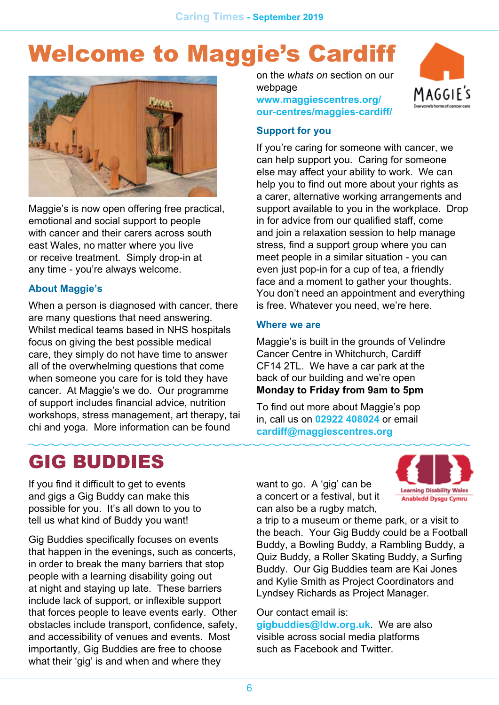## Welcome to Maggie's Cardiff



*Maggie's is now open offering free practical, emotional and social support to people with cancer and their carers across south east Wales, no matter where you live or receive treatment. Simply drop-in at any time - you're always welcome.*

#### *About Maggie's*

*When a person is diagnosed with cancer, there are many questions that need answering. Whilst medical teams based in NHS hospitals focus on giving the best possible medical care, they simply do not have time to answer all of the overwhelming questions that come when someone you care for is told they have cancer. At Maggie's we do. Our programme of support includes financial advice, nutrition workshops, stress management, art therapy, tai chi and yoga. More information can be found* 

### GIG BUDDIES

*can help support you. Caring for someone else may affect your ability to work. We can* 

*webpage*

*Support for you*

*help you to find out more about your rights as a carer, alternative working arrangements and support available to you in the workplace. Drop in for advice from our qualified staff, come and join a relaxation session to help manage stress, find a support group where you can meet people in a similar situation - you can even just pop-in for a cup of tea, a friendly face and a moment to gather your thoughts. You don't need an appointment and everything is free. Whatever you need, we're here.*

*If you're caring for someone with cancer, we* 

*on the whats on section on our* 

*[www.maggiescentres.org/](http://www.maggiescentres.org/our-centres/maggies-cardiff/) [our-centres/maggies-cardiff/](http://www.maggiescentres.org/our-centres/maggies-cardiff/)*

#### *Where we are*

*Maggie's is built in the grounds of Velindre Cancer Centre in Whitchurch, Cardiff CF14 2TL. We have a car park at the back of our building and we're open Monday to Friday from 9am to 5pm*

*To find out more about Maggie's pop in, call us on 02922 408024 or email cardiff@maggiescentres.org*

*want to go. A 'gig' can be a concert or a festival, but it can also be a rugby match,* 



*If you find it difficult to get to events and gigs a Gig Buddy can make this possible for you. It's all down to you to tell us what kind of Buddy you want!*

*Gig Buddies specifically focuses on events that happen in the evenings, such as concerts, in order to break the many barriers that stop people with a learning disability going out at night and staying up late. These barriers include lack of support, or inflexible support that forces people to leave events early. Other obstacles include transport, confidence, safety, and accessibility of venues and events. Most importantly, Gig Buddies are free to choose what their 'gig' is and when and where they* 

*a trip to a museum or theme park, or a visit to the beach. Your Gig Buddy could be a Football Buddy, a Bowling Buddy, a Rambling Buddy, a Quiz Buddy, a Roller Skating Buddy, a Surfing Buddy. Our Gig Buddies team are Kai Jones and Kylie Smith as Project Coordinators and Lyndsey Richards as Project Manager.*

#### *Our contact email is:*

*gigbuddies@ldw.org.uk. We are also visible across social media platforms such as Facebook and Twitter.*

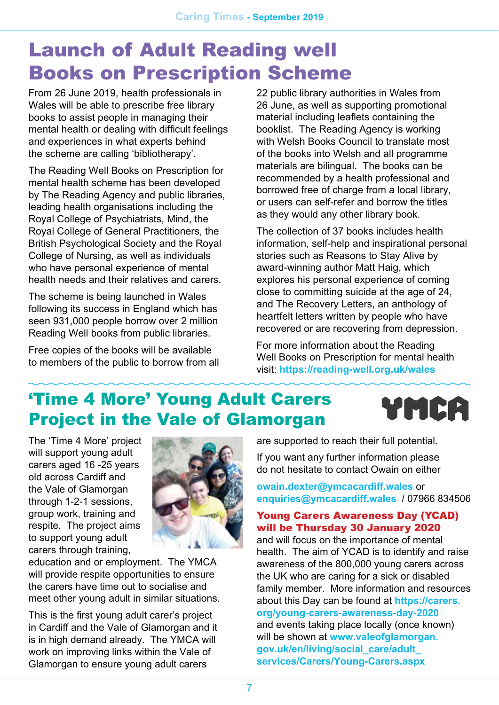### Launch of Adult Reading well Books on Prescription Scheme

*From 26 June 2019, health professionals in Wales will be able to prescribe free library books to assist people in managing their mental health or dealing with difficult feelings and experiences in what experts behind the scheme are calling 'bibliotherapy'.*

*The Reading Well Books on Prescription for mental health scheme has been developed by The Reading Agency and public libraries, leading health organisations including the Royal College of Psychiatrists, Mind, the Royal College of General Practitioners, the British Psychological Society and the Royal College of Nursing, as well as individuals who have personal experience of mental health needs and their relatives and carers.*

*The scheme is being launched in Wales following its success in England which has seen 931,000 people borrow over 2 million Reading Well books from public libraries.*

*Free copies of the books will be available to members of the public to borrow from all*  *22 public library authorities in Wales from 26 June, as well as supporting promotional material including leaflets containing the booklist. The Reading Agency is working with Welsh Books Council to translate most of the books into Welsh and all programme materials are bilingual. The books can be recommended by a health professional and borrowed free of charge from a local library, or users can self-refer and borrow the titles as they would any other library book.*

*The collection of 37 books includes health information, self-help and inspirational personal stories such as Reasons to Stay Alive by award-winning author Matt Haig, which explores his personal experience of coming close to committing suicide at the age of 24, and The Recovery Letters, an anthology of heartfelt letters written by people who have recovered or are recovering from depression.*

*For more information about the Reading Well Books on Prescription for mental health visit: https://reading-well.org.uk/wales*

### 'Time 4 More' Young Adult Carers Project in the Vale of Glamorgan



*The 'Time 4 More' project will support young adult carers aged 16 -25 years old across Cardiff and the Vale of Glamorgan through 1-2-1 sessions, group work, training and respite. The project aims to support young adult carers through training,* 



*education and or employment. The YMCA will provide respite opportunities to ensure the carers have time out to socialise and meet other young adult in similar situations.*

*This is the first young adult carer's project in Cardiff and the Vale of Glamorgan and it is in high demand already. The YMCA will work on improving links within the Vale of Glamorgan to ensure young adult carers* 

*are supported to reach their full potential.*

*If you want any further information please do not hesitate to contact Owain on either* 

*owain.dexter@ymcacardiff.wales or enquiries@ymcacardiff.wales / 07966 834506*

#### Young Carers Awareness Day (YCAD) will be Thursday 30 January 2020

*and will focus on the importance of mental health. The aim of YCAD is to identify and raise awareness of the 800,000 young carers across the UK who are caring for a sick or disabled family member. More information and resources about this Day can be found at [https://carers.](https://carers.org/young-carers-awareness-day-2020) [org/young-carers-awareness-day-2020](https://carers.org/young-carers-awareness-day-2020) and events taking place locally (once known) will be shown at [www.valeofglamorgan.](http://www.valeofglamorgan.gov.uk/en/living/social_care/adult_services/Carers/Young-Carers.aspx) [gov.uk/en/living/social\\_care/adult\\_](http://www.valeofglamorgan.gov.uk/en/living/social_care/adult_services/Carers/Young-Carers.aspx) [services/Carers/Young-Carers.aspx](http://www.valeofglamorgan.gov.uk/en/living/social_care/adult_services/Carers/Young-Carers.aspx)*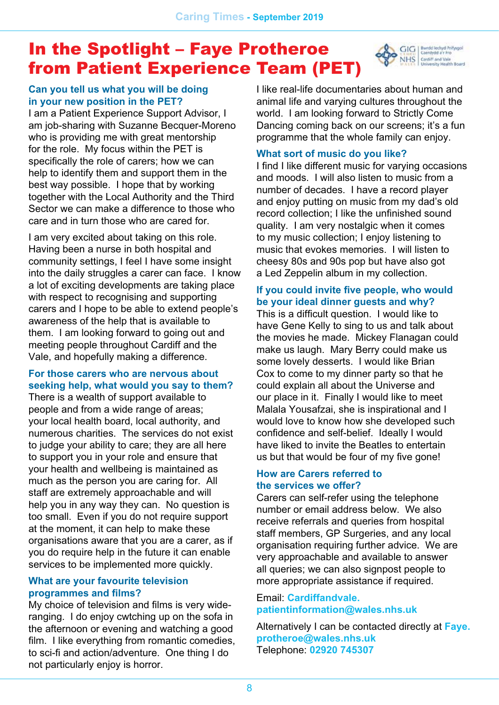### In the Spotlight – Faye Protheroe from Patient Experience Team (PET)



#### *Can you tell us what you will be doing in your new position in the PET?*

*I am a Patient Experience Support Advisor, I am job-sharing with Suzanne Becquer-Moreno who is providing me with great mentorship for the role. My focus within the PET is specifically the role of carers; how we can help to identify them and support them in the best way possible. I hope that by working together with the Local Authority and the Third Sector we can make a difference to those who care and in turn those who are cared for.*

*I am very excited about taking on this role. Having been a nurse in both hospital and community settings, I feel I have some insight into the daily struggles a carer can face. I know a lot of exciting developments are taking place with respect to recognising and supporting carers and I hope to be able to extend people's awareness of the help that is available to them. I am looking forward to going out and meeting people throughout Cardiff and the Vale, and hopefully making a difference.*

#### *For those carers who are nervous about seeking help, what would you say to them?*

*There is a wealth of support available to people and from a wide range of areas; your local health board, local authority, and numerous charities. The services do not exist to judge your ability to care; they are all here to support you in your role and ensure that your health and wellbeing is maintained as much as the person you are caring for. All staff are extremely approachable and will help you in any way they can. No question is too small. Even if you do not require support at the moment, it can help to make these organisations aware that you are a carer, as if you do require help in the future it can enable services to be implemented more quickly.*

#### *What are your favourite television programmes and films?*

*My choice of television and films is very wideranging. I do enjoy cwtching up on the sofa in the afternoon or evening and watching a good film. I like everything from romantic comedies, to sci-fi and action/adventure. One thing I do not particularly enjoy is horror.* 

*I like real-life documentaries about human and animal life and varying cultures throughout the world. I am looking forward to Strictly Come Dancing coming back on our screens; it's a fun programme that the whole family can enjoy.*

#### *What sort of music do you like?*

*I find I like different music for varying occasions and moods. I will also listen to music from a number of decades. I have a record player and enjoy putting on music from my dad's old record collection; I like the unfinished sound quality. I am very nostalgic when it comes to my music collection; I enjoy listening to music that evokes memories. I will listen to cheesy 80s and 90s pop but have also got a Led Zeppelin album in my collection.*

#### *If you could invite five people, who would be your ideal dinner guests and why?*

*This is a difficult question. I would like to have Gene Kelly to sing to us and talk about the movies he made. Mickey Flanagan could make us laugh. Mary Berry could make us some lovely desserts. I would like Brian Cox to come to my dinner party so that he could explain all about the Universe and our place in it. Finally I would like to meet Malala Yousafzai, she is inspirational and I would love to know how she developed such confidence and self-belief. Ideally I would have liked to invite the Beatles to entertain us but that would be four of my five gone!*

#### *How are Carers referred to the services we offer?*

*Carers can self-refer using the telephone number or email address below. We also receive referrals and queries from hospital staff members, GP Surgeries, and any local organisation requiring further advice. We are very approachable and available to answer all queries; we can also signpost people to more appropriate assistance if required.* 

#### *Email: Cardiffandvale. patientinformation@wales.nhs.uk*

*Alternatively I can be contacted directly at Faye. protheroe@wales.nhs.uk Telephone: 02920 745307*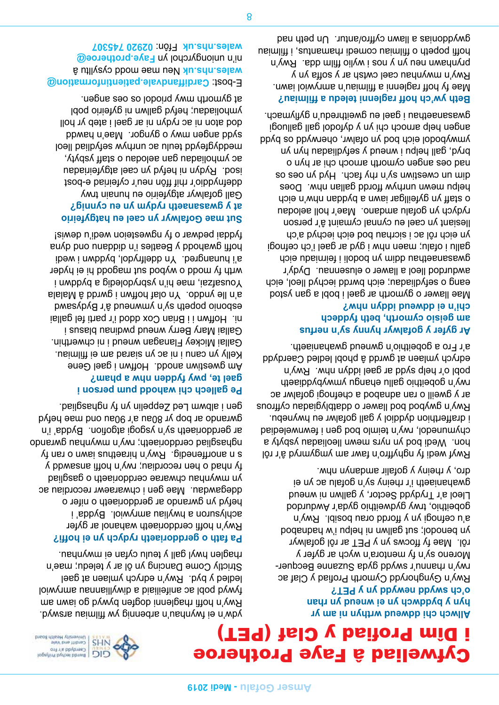

### *Allwch chi ddweud wrthyn ni am yr hyn y byddwch yn ei wneud yn rhan*

*o'ch swydd newydd yn y PET? Rwy'n Gynghorydd Cymorth Profiad y Claf ac rwy'n rhannu'r swydd gyda Suzanne Becquer-Moreno sy'n fy mentora'n wych ar gyfer y rôl. Mae fy ffocws yn y PET ar rôl gofalwyr yn benodol; sut gallwn ni helpu i'w hadnabod a'u cefnogi yn y ffordd orau bosibl. Rwy'n gobeithio, trwy gydweithio gyda'r Awdurdod Lleol a'r Trydydd Sector, y gallwn ni wneud gwahaniaeth i'r rheiny sy'n gofalu ac yn ei dro, y rheiny y gofalir amdanyn nhw.*

*Rwyf wedi fy nghyffro'n fawr am ymgymryd â'r rôl hon. Wedi bod yn nyrs mewn lleoliadau ysbyty a chymunedol, rwy'n teimlo bod gen i fewnwelediad i drafferthion dyddiol y gall gofalwr eu hwynebu. Rwy'n gwybod bod llawer o ddatblygiadau cyffrous ar y gweill o ran adnabod a chefnogi gofalwr ac rwy'n gobeithio gallu ehangu ymwybyddiaeth pobl o'r help sydd ar gael iddyn nhw. Rwy'n edrych ymlaen at gwrdd â phobl ledled Caerdydd a'r Fro a gobeithio'n gwneud gwahaniaeth.*

#### *Ar gyfer y gofalwyr hynny sy'n nerfus am geisio cymorth, beth fyddech chi'n ei ddweud iddyn nhw?*

*Mae llawer o gymorth ar gael i bobl a gan ystod eang o sefydliadau; eich bwrdd iechyd lleol, eich awdurdod lleol a llawer o elusennau. Dydy'r gwasanaethau ddim yn bodoli i feirniadu eich gallu i ofalu; maen nhw i gyd ar gael i'ch cefnogi yn eich rôl ac i sicrhau bod eich iechyd a'ch llesiant yn cael eu cynnal cymaint â'r person rydych yn gofalu amdano. Mae'r holl aelodau o staff yn gyfeillgar iawn a byddan nhw'n eich helpu mewn unrhyw ffordd gallan nhw. Does dim un cwestiwn sy'n rhy fach. Hyd yn oes os nad oes angen cymorth arnoch chi ar hyn o bryd, gall helpu i wneud y sefydliadau hyn yn ymwybodol eich bod yn ofalwr, oherwydd os bydd angen help arnoch chi yn y dyfodol gall galluogi gwasanaethau i gael eu gweithredu'n gyflymach.*

#### *Beth yw'ch hoff raglenni teledu a ffilmiau? Mae fy hoff raglenni a ffilmiau'n amrywiol iawn. Rwy'n mwynhau cael cwtsh ar y soffa yn y*

*prynhawn neu yn y nos i wylio ffilm dda. Rwy'n hoffi popeth o ffilmiau comedi rhamantus, i ffilmiau gwyddonias a llawn cyffro/antur. Un peth nad* 



*ydw'n ei fwynhau'n arbennig yw ffilmiau arswyd. Rwy'n hoffi rhaglenni dogfen bywyd go iawn am fywyd pobl ac anifeiliaid a diwylliannau amrywiol ledled y byd. Rwy'n edrych ymlaen at gael Strictly Come Dancing yn ôl ar y teledu; mae'n rhaglen hwyl gall y teulu cyfan ei mwynhau.*

#### *Pa fath o gerddoriaeth rydych yn ei hoffi?*

*Rwy'n hoffi cerddoriaeth wahanol ar gyfer achlysuron a hwyliau amrywiol. Bydda' i hefyd yn gwrando ar gerddoriaeth o nifer o ddegawdau. Mae gen i chwaraewr recordiau ac yn mwynhau chwarae cerddoriaeth o gasgliad fy nhad o hen recordiau; rwy'n hoffi ansawdd y n anorffenedig. Rwy'n hiraethus iawn o ran fy s nghasgliad cerddoriaeth; rwy'n mwynhau gwrando ar gerddoriaeth sy'n ysgogi atgofion. Bydda' i'n gwrando ar bop yr 80au a'r 90au ond mae hefyd gen i albwm Led Zeppelin yn fy nghasgliad.*

#### *Pe gallech chi wahodd pum person i gael te, pwy fydden nhw a pham?*

*Am gwestiwn anodd. Hoffwn i gael Gene Kelly yn canu i ni ac yn siarad am ei ffilmiau. Gallai Mickey Flanagan wneud i ni chwerthin. Gallai Mary Berry wneud pwdinau blasus i ni. Hoffwn i i Brian Cox ddod i'r parti fel gallai esbonio popeth sy'n ymwneud â'r Bydysawd a'n lle ynddo. Yn olaf hoffwn i gwrdd â Malala Yousafzai, mae hi'n ysbrydoledig a byddwn i wrth fy modd o wybod sut magodd hi ei hyder a'i hunangred. Yn ddelfrydol, byddwn i wedi hoffi gwahodd y Beatles i'n diddanu ond dyna fyddai pedwar o fy ngwesteion wedi'u dewis!*

### *Sut mae Gofalwyr yn cael eu hatgyfeirio at y gwasanaeth rydym yn eu cynnig?*

*Gall gofalwyr atgyfeirio eu hunain trwy ddefnyddio'r rhif ffôn neu'r cyfeiriad e-bost isod. Rydyn ni hefyd yn cael atgyfeiriadau ac ymholiadau gan aelodau o staff ysbyty, meddygfeydd teulu ac unrhyw sefydliad lleol sydd angen mwy o gyngor. Mae'n hawdd dod aton ni ac rydyn ni ar gael i ateb yr holl ymholiadau; hefyd gallwn ni gyfeirio pobl at gymorth mwy priodol os oes angen.* 

*Cardiffandvale.patientinformation@ E-bost: Neu mae modd cysylltu â wales.nhs.uk Faye.protheroe@ ni'n uniongyrchol yn 02920 745307 Ffôn: wales.nhs.uk*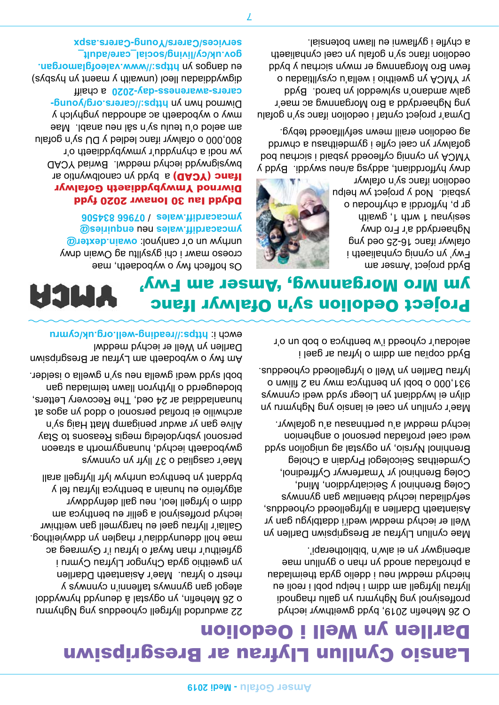### Lansio Cynllun Llyfrau ar Bresgripsiwn Darllen yn Well i Oedolion

*O 26 Mehefin 2019, bydd gweithwyr iechyd proffesiynol yng Nghymru yn gallu rhagnodi llyfrau llyfrgell am ddim i helpu pobl i reoli eu hiechyd meddwl neu i ddelio gyda theimladau a phrofiadau anodd yn rhan o gynllun mae arbenigwyr yn ei alw'n 'bibliotherapi'.* 

*Mae cynllun Llyfrau ar Bresgripsiwn Darllen yn Well er iechyd meddwl wedi'i ddatblygu gan yr Asiantaeth Ddarllen a llyfrgelloedd cyhoeddus, sefydliadau iechyd blaenllaw gan gynnwys Coleg Brenhinol y Seiciatryddion, Mind, Coleg Brenhinol yr Ymarferwyr Cyffredinol, Cymdeithas Seicolegol Prydain a Choleg Brenhinol Nyrsio, yn ogystal ag unigolion sydd wedi cael profiadau personol o anghenion iechyd meddwl a'u perthnasau a'u gofalwyr.*

*Mae'r cynllun yn cael ei lansio yng Nghymru yn dilyn ei lwyddiant yn Lloegr sydd wedi cynnwys 931,000 o bobl yn benthyca mwy na 2 filiwn o lyfrau Darllen yn Well o lyfrgelloedd cyhoeddus.*

*Bydd copïau am ddim o lyfrau ar gael i aelodau'r cyhoedd i'w benthyca o bob un o'r* 



*Bydd project 'Amser am Fwy' yn cynnig cynhaliaeth i ofalwyr ifanc 16-25 oed yng Nghaerdydd a'r Fro drwy sesiynau 1 wrth 1, gwaith p, hyfforddi a chyfnodau o gr ysbaid. Nod y project yw helpu oedolion ifanc sy'n ofalwyr* 

*drwy hyfforddiant, addysg a/neu swyddi. Bydd y YMCA yn cynnig cyfleoedd ysbaid i sicrhau bod gofalwyr yn cael cyfle i gymdeithasu a chwrdd ag oedolion eraill mewn sefyllfaoedd tebyg.* 

*Dyma'r project cyntaf i oedolion ifanc sy'n gofalu yng Nghaerdydd a Bro Morgannwg ac mae'r galw amdano'n sylweddol yn barod. Bydd yr YMCA yn gweithio i wella'u cysylltiadau o fewn Bro Morgannwg er mwyn sicrhau y bydd oedolion ifanc sy'n gofalu yn cael cynhaliaeth a chyfle i gyflawni eu llawn botensial.* 

*22 awdurdod llyfrgell cyhoeddus yng Nghymru o 26 Mehefin, yn ogystal â deunydd hyrwyddol ategol gan gynnwys taflenni'n cynnwys y rhestr o lyfrau. Mae'r Asiantaeth Ddarllen yn gweithio gyda Chyngor Llyfrau Cymru i gyfieithu'r rhan fwyaf o lyfrau i'r Gymraeg ac mae holl ddeunyddiau'r rhaglen yn ddwyieithog. Gallai'r llyfrau gael eu hargymell gan weithiwr iechyd proffesiynol a gellir eu benthyca am ddim o lyfrgell leol, neu gall defnyddwyr atgyfeirio eu hunain a benthyca llyfrau fel y byddant yn benthyca unrhyw lyfr llyfrgell arall*

*Mae'r casgliad o 37 llyfr yn cynnwys gwybodaeth iechyd, hunangymorth a straeon personol ysbrydoledig megis Reasons to Stay Alive gan yr awdur penigamp Matt Haig sy'n archwilio ei brofiad personol o ddod yn agos at hunanladdiad ar 24 oed, The Recovery Letters, blodeugerdd o llythyron llawn teimladau gan bobl sydd wedi gwella neu sy'n gwella o iselder.*

*Am fwy o wybodaeth am Lyfrau ar Bresgripsiwn Darllen yn Well er iechyd meddwl <https://reading-well.org.uk/cymru> ewch i:* 



*Os hoffech fwy o wybodaeth, mae croeso mawr i chi gysylltu ag Owain drwy owain.dexter@ unrhyw un o'r canlynol: enquiries@ neu ymcacardiff.wales 07966 834506 / ymcacardiff.wales*

#### Ddydd Iau 30 Ionawr 2020 fydd Diwrnod Ymwybyddiaeth Gofalwyr *Ifanc (YCAD)* a bydd yn canolbwyntio ar *bwysigrwydd iechyd meddwl. Bwriad YCAD yw nodi a chynyddu'r ymwybyddiaeth o'r am aelod o'u teulu sy'n sâl neu anabl. Mae*

*800,000 o ofalwyr ifanc ledled y DU sy'n gofalu mwy o wybodaeth ac adnoddau ynghylch y [https://carers.org/young-](https://carers.org/young-carers-awareness-day-2020) Diwrnod hwn yn a chaiff [carers-awareness-day-2020](https://carers.org/young-carers-awareness-day-2020) digwyddiadau lleol (unwaith y maent yn hysbys) [https://www.valeofglamorgan.](https://www.valeofglamorgan.gov.uk/cy/living/social_care/adult_services/Carers/Young-Carers.aspx) eu dangos yn [gov.uk/cy/living/social\\_care/adult\\_](https://www.valeofglamorgan.gov.uk/cy/living/social_care/adult_services/Carers/Young-Carers.aspx) [services/Carers/Young-Carers.aspx](https://www.valeofglamorgan.gov.uk/cy/living/social_care/adult_services/Carers/Young-Carers.aspx)*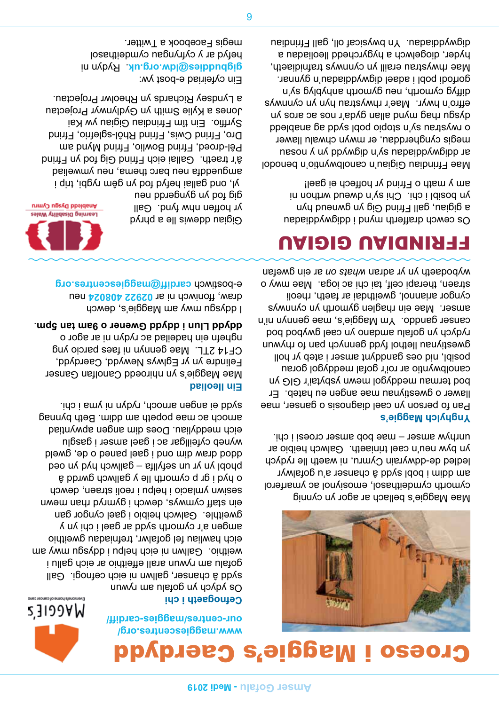

## Croeso i Maggie's Caerdydd

*[www.maggiescentres.org/](http://www.maggiescentres.org/our-centres/maggies-cardiff/) [our-centres/maggies-cardiff/](http://www.maggiescentres.org/our-centres/maggies-cardiff/)*

#### *Cefnogaeth i chi*

*Os ydych yn gofalu am rywun sydd â chanser, gallwn ni eich cefnogi. Gall gofalu am rywun arall effeithio ar eich gallu i weithio. Gallwn ni eich helpu i ddysgu mwy am eich hawliau fel gofalwr, trefniadau gweithio amgen a'r cymorth sydd ar gael i chi yn y gweithle. Galwch heibio i gael cyngor gan ein staff cymwys, dewch i gymryd rhan mewn sesiwn ymlacio i helpu i reoli straen, dewch p cymorth lle y gallwch gwrdd â o hyd i gr phobl yn yr un sefyllfa – gallwch hyd yn oed ddod draw dim ond i gael paned o de, gweld wyneb cyfeillgar ac i gael amser i gasglu eich meddyliau. Does dim angen apwyntiad arnoch ac mae popeth am ddim. Beth bynnag sydd ei angen arnoch, rydyn ni yma i chi.*

#### *Ein lleoliad*

*Mae Maggie's yn nhiroedd Canolfan Ganser Felindre yn yr Eglwys Newydd, Caerdydd, CF14 2TL. Mae gennyn ni faes parcio yng nghefn ein hadeilad ac rydyn ni ar agor o . ddydd Llun i ddydd Gwener o 9am tan 5pm*

*I ddysgu mwy am Maggie's, dewch*  draw, ffoniwch ni ar 02922 408024 neu *cardiff@maggiescentres.org e-bostiwch* 

*yl, ond gallai hefyd fod yn gêm rygbi, trip i amgueddfa neu barc thema, neu ymweliad â'r traeth. Gallai eich Ffrind Gig fod yn Ffrind Pêl-droed, Ffrind Bowlio, Ffrind Mynd am Dro, Ffrind Cwis, Ffrind Rhôl-sglefrio, Ffrind Syrffio. Ein tîm Ffrindiau Gigiau yw Kai* 

Anabledd Dysgu Cymru Learning Disability Wales *Gigiau ddewis lle a phryd yr hoffen nhw fynd. Gall gig fod yn gyngerdd neu* 

### FFRINDIAU GIGIAU

*straen, therapi celf, tai chi ac ioga. Mae mwy o ar ein gwefan whats on wybodaeth yn yr adran* 

*Mae Maggie's bellach ar agor yn cynnig* 

*Ynghylch Maggie's*

*cymorth cymdeithasol, emosiynol ac ymarferol am ddim i bobl sydd â chanser a'u gofalwyr ledled de-ddwyrain Cymru, ni waeth lle rydych yn byw neu'n cael triniaeth. Galwch heibio ar unrhyw amser – mae bob amser croesi i chi.*

*Pan fo person yn cael diagnosis o ganser, mae llawer o gwestiynau mae angen eu hateb. Er bod termau meddygol mewn ysbytai'r GIG yn canolbwyntio ar roi'r gofal meddygol gorau posibl, nid oes ganddynt amser i ateb yr holl gwestiynau llethol fydd gennych pan fo rhywun rydych yn gofalu amdano yn cael gwybod bod canser ganddo. Ym Maggie's, mae gennyn ni'n amser. Mae ein rhaglen gymorth yn cynnwys cyngor ariannol, gweithdai ar faeth, rheoli* 

*Os cewch drafferth mynd i ddigwyddiadau a gigiau, gall Ffrind Gig yn gwneud hyn yn bosibl i chi. Chi sy'n dweud wrthon ni am y math o Ffrind yr hoffech ei gael!*

*Mae Ffrindiau Gigiau'n canolbwyntio'n benodol ar ddigwyddiadau sy'n digwydd yn y nosau megis cyngherddau, er mwyn chwalu llawer o rwystrau sy'n stopio pobl sydd ag anabledd dysgu rhag mynd allan gyda'r nos ac aros yn effro'n hwyr. Mae'r rhwystrau hyn yn cynnwys diffyg cymorth, neu gymorth anhyblyg sy'n gorfodi pobl i adael digwyddiadau'n gynnar. Mae rhwystrau eraill yn cynnwys trafnidiaeth, hyder, diogelwch a hygyrchedd lleoliadau a digwyddiadau. Yn bwysicaf oll, gall Ffrindiau* 

*Jones a Kylie Smith yn Gydlynwyr Projectau a Lyndsey Richards yn Rheolwr Projectau. Ein cyfeiriad e-bost yw: . Rydyn ni gigbuddies@ldw.org.uk hefyd ar y cyfryngau cymdeithasol* 

*megis Facebook a Twitter.*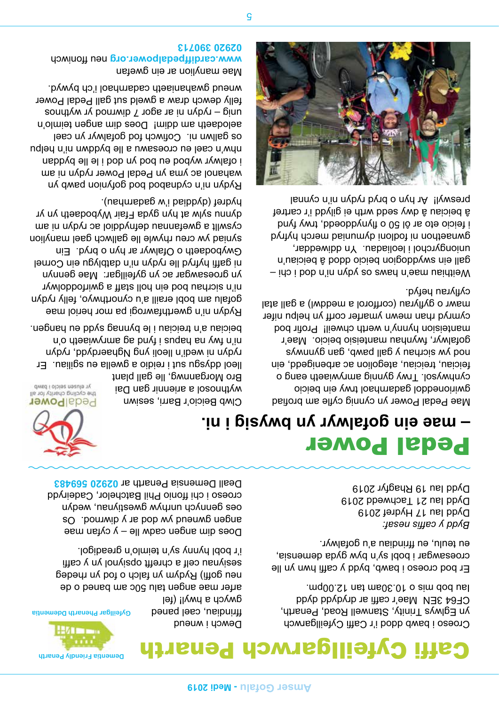

## Cyfeillgarwch Penarth

*Dewch i wneud ffrindiau, cael paned gwych a hwyl! (fel* 

*arfer mae angen talu 50c am baned o de neu goffi) Rydym yn falch o fod yn rhedeg sesiynau celf a chrefft opsiynol yn y caffi i'r bobl hynny sy'n teimlo'n greadigol.*

*Does dim angen cadw lle – y cyfan mae angen gwneud yw dod ar y diwrnod. Os oes gennych unrhyw gwestiynau, wedyn croeso i chi ffonio Phil Batchelor, Cadeirydd 02920 569483 Deall Demensia Penarth ar* 

### Pedal Power *– mae ein gofalwyr yn bwysig i ni.*



*wythnosol a ariennir gan Dai*  the cycling charity for all *Clwb Beicio'r Barri, sesiwn* 

*beiciau a'n treiciau i le bynnag sydd eu hangen. ni'n fwy na hapus i fynd ag amrywiaeth o'n rydyn ni wedi'n lleoli yng Nghaerdydd, rydyn lleol ddysgu sut i reidio a gwella eu sgiliau. Er Bro Morgannwg, lle gall plant*  yr elusen seiclo i bawb

*Rydyn ni'n gwerthfawrogi pa mor heriol mae gofalu am bobl eraill a'u cynorthwyo, felly rydyn ni'n sicrhau bod ein holl staff a gwirfoddolwyr yn groesawgar ac yn gyfeillgar: Mae gennyn ni gaffi hyfryd lle rydyn ni'n datblygu ein Cornel Gwybodaeth o Ofalwyr ar hyn o bryd. Ein syniad yw creu rhywle lle gallwch gael manylion cyswllt a gwefannau defnyddiol ac rydyn ni am dynnu sylw at hyn gyda Ffair Wybodaeth yn yr hydref (dyddiad i'w gadarnhau).*

*Rydyn ni'n cydnabod bod gofynion pawb yn wahanol ac yma yn Pedal Power rydyn ni am i ofalwyr wybod eu bod yn dod i le lle byddan nhw'n cael eu croesawu a lle byddwn ni'n helpu os gallwn ni. Cofiwch fod gofalwyr yn cael aelodaeth am ddim! Does dim angen teimlo'n unig – rydyn ni ar agor 7 diwrnod yr wythnos felly dewch draw a gweld sut gall Pedal Power wneud gwahaniaeth cadarnhaol i'ch bywyd.*

*Mae manylion ar ein gwefan neu ffoniwch [www.cardiffpedalpower.org](http://www.cardiffpedalpower.org) 02920 390713*

> *Mae Pedal Power yn cynnig cyfle am brofiad gwirioneddol gadarnhaol trwy ein beicio cynhwysol. Trwy gynnig amrywiaeth eang o feiciau, treiciau, ategolion ac arbenigedd, ein nod yw sicrhau y gall pawb, gan gynnwys gofalwyr, fwynhau manteisio beicio. Mae'r manteision hynny'n werth chweil! Profir bod cymryd rhan mewn ymarfer corff yn helpu nifer mawr o gyflyrau (corfforol a meddwl) a gall atal cyflyrau hefyd.*

*Croeso i bawb ddod i'r Caffi Cyfeillgarwch yn Eglwys Trinity, Stanwell Road, Penarth, CF64 3EN Mae'r caffi ar drydydd dydd Iau bob mis o 10.30am tan 12.00pm.*

*Er bod croeso i bawb, bydd y caffi hwn yn lle croesawgar i bobl sy'n byw gyda demensia,* 

*eu teulu, eu ffrindiau a'u gofalwyr.*

*Bydd y caffis nesaf:*

*Dydd Iau 17 Hydref 2019 Dydd Iau 21 Tachwedd 2019 Dydd Iau 19 Rhagfyr 2019*

*Weithiau mae'n haws os ydyn ni'n dod i chi – gall ein swyddogion beicio ddod â beiciau'n uniongyrchol i leoliadau. Yn ddiweddar, gwnaethon ni fodloni dymuniad merch hyfryd i feicio eto ar ôl 50 o flynyddoedd, trwy fynd â beiciau â dwy sedd wrth ei gilydd i'r cartref preswyl! Ar hyn o bryd rydyn ni'n cynnal* 

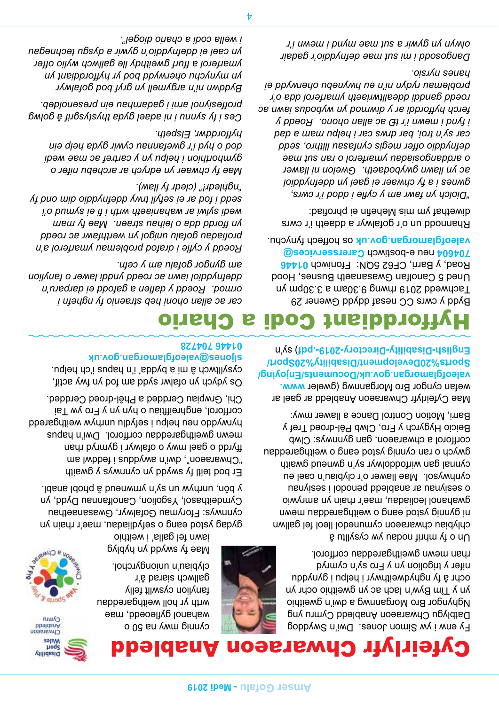

*yn y Tîm Byw'n Iach ac yn gweithio ochr yn* 

*chlybiau chwaraeon cymunedol lleol fel gallwn ni gynnig ystod eang o weithgareddau mewn gwahanol leoliadau, mae'r rhain yn amrywio o sesiynau ar anabledd penodol i sesiynau cynhwysol. Mae llawer o'r clybiau'n cael eu cynnal gan wirfoddolwyr sy'n gwneud gwaith gwych o ran cynnig ystod eang o weithgareddau* 

*corfforol a chwaraeon, gan gynnwys: Clwb Beicio Hygyrch y Fro, Clwb Pêl-droed Tref y Barri, Motion Control Dance a llawer mwy:* 

*Fy enw i yw Simon Jones. Dwi'n Swyddog Datblygu Chwaraeon Anabledd Cymru yng Nghyngor Bro Morgannwg a dwi'n gweithio ochr â fy nghydweithwyr i helpu i gynyddu nifer y trigolion yn y Fro sy'n cymryd rhan mewn gweithgareddau corfforol.* 

*Un o fy mhrif nodau yw cysylltu â* 



*4*

*clybiau'n uniongyrchol. Mae fy swydd yn hyblyg iawn fel galla' i weithio* 

*wrth yr holl weithgareddau* 

*cynnig mwy na 50 o* 

*fanylion cyswllt felly gallwch siarad â'r* 

*gydag ystod eang o sefydliadau, mae'r rhain yn cynnwys: Fforymau Gofalwyr, Gwasanaethau Cymdeithasol, Ysgolion, Canolfannau Dydd, yn* 

*y bôn, unrhyw un sy'n ymwneud â phobl anabl.*

*Er bod teitl fy swydd yn cynnwys y gwaith "Chwaraeon", dwi'n awyddus i feddwl am ffyrdd o gael mwy o ofalwyr i gymryd rhan mewn gweithgareddau corfforol. Dwi'n hapus hyrwyddo neu helpu i sefydlu unrhyw weithgaredd corfforol, enghreifftiau o hyn yn y Fro yw Tai Chi, Grwpiau Cerdded a Phêl-droed Cerdded.*

*Os ydych yn ofalwr sydd am fod yn fwy actif, cysylltwch â mi a bydda' i'n hapus i'ch helpu. sljones@valeofglamorgan.gov.uk 01446 704728*

*ormod. Roedd y daflen a gafodd ei darparu'n ddefnyddiol iawn ac roedd ynddi lawer o fanylion* 

*Roedd y cyfle i drafod problemau ymarferol a'n profiadau gofalu unigol yn werthfawr ac roedd yn ffordd dda o leihau straen. Mae fy mam wedi sylwi ar wahaniaeth wrth i fi ei symud o'i sedd i fod ar ei sefyll trwy ddefnyddio dim ond fy* 

*Mae fy chwaer yn edrych ar archebu nifer o gymhorthion i helpu yn y cartref ac mae wedi dod o hyd i'r gwefannau cywir gyda help ein* 

*Byddwn ni'n argymell yn gryf bod gofalwyr yn mynychu oherwydd bod yr hyfforddiant yn ymarferol a ffurf gweithdy lle gallwch wylio offer yn cael ei ddefnyddio'n gywir a dysgu technegau* 

*Ces i fy synnu i ni adael gyda thystysgrif â golwg proffesiynol arni i gadarnhau ein presenoldeb.* 

*am gyngor gofalu am y cefn.* 

*"nghledr!" (cledr fy llaw).* 

*hyfforddwr, Elspeth.*

*i wella codi a chario diogel".*

*Mae Cyfeirlyfr Chwaraeon Anabledd ar gael ar [www.](https://www.valeofglamorgan.gov.uk/Documents/Enjoying/Sports%20Development/Disability%20Sport/English-Disability-Directory-2019-.pdf) wefan cyngor Bro Morgannwg (gweler [valeofglamorgan.gov.uk/Documents/Enjoying/](https://www.valeofglamorgan.gov.uk/Documents/Enjoying/Sports%20Development/Disability%20Sport/English-Disability-Directory-2019-.pdf) [Sports%20Development/Disability%20Sport/](https://www.valeofglamorgan.gov.uk/Documents/Enjoying/Sports%20Development/Disability%20Sport/English-Disability-Directory-2019-.pdf) ) sy'n [English-Disability-Directory-2019-.pdf](https://www.valeofglamorgan.gov.uk/Documents/Enjoying/Sports%20Development/Disability%20Sport/English-Disability-Directory-2019-.pdf)*

### Hyfforddiant Codi a Chario *car ac allan ohoni heb straenio fy nghefn i*

*Bydd y cwrs CC nesaf ddydd Gwener 29 Tachwedd 2019 rhwng 9.30am a 3.30pm yn Uned 5 Canolfan Gwasanaeth Busnes, Hood 01446 Road, y Barri, CF62 5QN: Ffoniwch Carersservices@ neu e-bostiwch 704604 os hoffech fynychu. valeofglamorgan.gov.uk*

*Rhannodd un o'r gofalwyr a ddaeth i'r cwrs diwethaf ym mis Mehefin ei phrofiad:*

*"Diolch yn fawr am y cyfle i ddod i'r cwrs, gwnes i a fy chwaer ei gael yn ddefnyddiol ac yn llawn gwybodaeth. Gwelon ni llawer o arddangosiadau ymarferol o ran sut mae defnyddio offer megis cynfasau llithro, sedd car sy'n troi, bar drws car i helpu mam a dad i fynd i mewn i'r tŷ ac allan ohono. Roedd y ferch hyfforddi ar y diwrnod yn wybodus iawn ac roedd ganddi ddealltwriaeth ymarferol dda o'r problemau rydyn ni'n eu hwynebu oherwydd ei hanes nyrsio.*

*Dangosodd i mi sut mae defnyddio'r gadair olwyn yn gywir a sut mae mynd i mewn i'r* 







Chwaraeon<br>Chwaraeon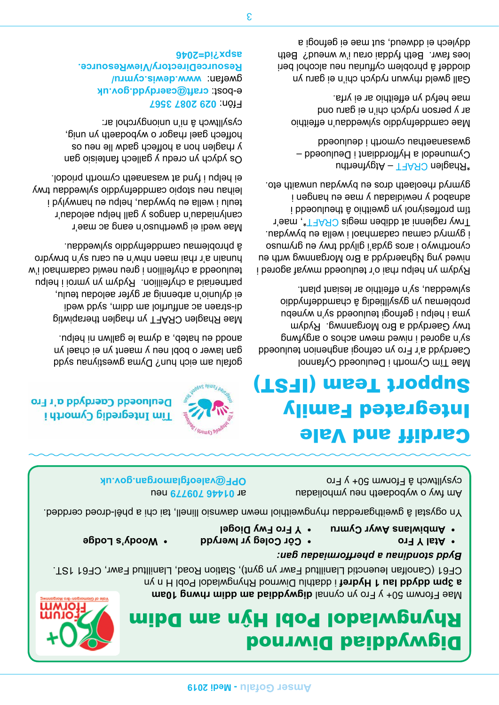### Digwyddiad Diwrnod Rhyngwladol Pobl Hyˆn am Ddim

*digwyddiad am ddim rhwng 10am Mae Fforwm 50+ y Fro yn cynnal* 

*in diathand Ian Andret* i ddathlu Diwrnod Rhyngwladol Pobl H in yn ar yn fel Fryndi *CF61 (Canolfan Ieuenctid Llanilltud Fawr yn gynt), Station Road, Llanilltud Fawr, CF61 1ST.*

#### *Bydd stondinau a pherfformiadau gan:*

- *Atal Y Fro •*
- *Ambiwlans Awyr Cymru • Côr Coleg yr Iwerydd •*
- *Y Fro Fwy Diogel •*

*Yn ogystal â gweithgareddau rhyngweithiol mewn dawnsio llinell, tai chi a phêl-droed cerdded.*

*Am fwy o wybodaeth neu ymholiadau cysylltwch â Fforwm 50+ y Fro* 

 *neu 01446 709779 ar OPF@valeofglamorgan.gov.uk* 

## Cardiff and Vale Integrated Family Support Team (IFST)

*Mae Tîm Cymorth i Deuluoedd Cyfannol Caerdydd a'r Fro yn cefnogi anghenion teuluoedd sy'n agored i niwed mewn achos o argyfwng trwy Gaerdydd a Bro Morgannwg. Rydym yma i helpu i gefnogi teuluoedd sy'n wynebu problemau yn gysylltiedig â chamddefnyddio sylweddau, sy'n effeithio ar lesiant plant.*

*Rydym yn helpu rhai o'r teuluoedd mwyaf agored i niwed yng Nghaerdydd a Bro Morgannwg wrth eu cynorthwyo i aros gyda'i gilydd trwy eu grymuso i gymryd camau cadarnhaol i wella eu bywydau. \*, mae'r CRAFT Trwy raglenni at ddiben megis tîm proffesiynol yn gweithio â theuluoedd i adnabod y newidiadau y mae eu hangen i gymryd rheolaeth dros eu bywydau unwaith eto.*

 *– Atgyfnerthu CRAFT \*Rhaglen Cymunedol a Hyfforddiant i Deuluoedd – gwasanaethau cymorth i deuluoedd*

*Mae camddefnyddio sylweddau'n effeithio ar y person rydych chi'n ei garu ond mae hefyd yn effeithio ar ei yrfa.*

*Gall gweld rhywun rydych chi'n ei garu yn dioddef â phroblem cyffuriau neu alcohol beri loes fawr. Beth fyddai orau i'w wneud? Beth ddylech ei ddweud, sut mae ei gefnogi a* 



Deuluoedd Caerdydd a'r Fro

*Woody's Lodge •*

*gofalu am eich hun? Dyma gwestiynau sydd gan lawer o bobl neu y maent yn ei chael yn anodd eu hateb, a dyma le gallwn ni helpu.*

*Mae Rhaglen CRAFT yn rhaglen therapiwtig di-straen ac anffurfiol am ddim, sydd wedi ei dylunio'n arbennig ar gyfer aelodau teulu, partneriaid a chyfeillion. Rydym yn ymroi i helpu teuluoedd a chyfeillion i greu newid cadarnhaol i'w hunain a'r rhai maen nhw'n eu caru sy'n brwydro â phroblemau camddefnyddio sylweddau.*

*Mae wedi ei gwerthuso'n eang ac mae'r canlyniadau'n dangos y gall helpu aelodau'r teulu i wella eu bywydau, helpu eu hanwylyd i leihau neu stopio camddefnyddio sylweddau trwy ei helpu i fynd at wasanaeth cymorth priodol.*

*Os ydych yn credu y gallech fanteisio gan y rhaglen hon a hoffech gadw lle neu os hoffech gael rhagor o wybodaeth yn unig, cysylltwch â ni'n uniongyrchol ar:*

*029 2087 3567 Ffôn: craft@caerdydd.gov.uk e-bost: [www.dewis.cymru/](http://www.dewis.cymru/ResourceDirectory/ViewResource.aspx?id=2046) gwefan: [ResourceDirectory/ViewResource.](http://www.dewis.cymru/ResourceDirectory/ViewResource.aspx?id=2046) [aspx?id=2046](http://www.dewis.cymru/ResourceDirectory/ViewResource.aspx?id=2046)*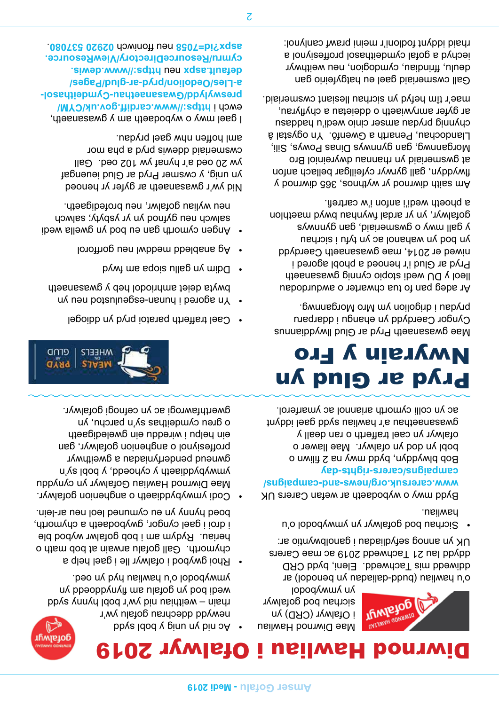

## Diwrnod Hawliau i Ofalwyr 2019

*Mae Diwrnod Hawliau i Ofalwyr (CRD) yn sicrhau bod gofalwyr yn ymwybodol* 

*o'u hawliau (budd-daliadau yn benodol) ar ddiwedd mis Tachwedd. Eleni, bydd CRD ddydd Iau 21 Tachwedd 2019 ac mae Carers UK yn annog sefydliadau i ganolbwyntio ar:*

**AFIMTEJOG** 

*Sicrhau bod gofalwyr yn ymwybodol o'u • hawliau.*

*Bydd mwy o wybodaeth ar wefan Carers UK [www.carersuk.org/news-and-campaigns/](http://www.carersuk.org/news-and-campaigns/campaigns/carers-rights-day) [campaigns/carers-rights-day](http://www.carersuk.org/news-and-campaigns/campaigns/carers-rights-day)*

*Bob blwyddyn, bydd mwy na 2 filiwn o bobl yn dod yn ofalwyr. Mae llawer o ofalwyr yn cael trafferth o ran deall y gwasanaethau a'r hawliau sydd gael iddynt ac yn colli cymorth ariannol ac ymarferol.*

## Pryd ar Glud yn Nwyrain y Fro

*Mae gwasanaeth Pryd ar Glud llwyddiannus Cyngor Caerdydd yn ehangu i ddarparu prydau i drigolion ym Mro Morgannwg.*

*Ar adeg pan fo tua chwarter o awdurdodau lleol y DU wedi stopio cynnig gwasanaeth Pryd ar Glud i'r henoed a phobl agored i niwed er 2014, mae gwasanaeth Caerdydd yn bod yn wahanol ac yn tyfu i sicrhau y gall mwy o gwsmeriaid, gan gynnwys gofalwyr, yn yr ardal fwynhau bwyd maethlon a phoeth wedi'i anfon i'w cartrefi.*

*Am saith diwrnod yr wythnos, 365 diwrnod y flwyddyn, gall gyrwyr cyfeillgar bellach anfon at gwsmeriaid yn rhannau dwyreiniol Bro Morgannwg, gan gynnwys Dinas Powys, Sili, Llandochau, Penarth a Gwenfô. Yn ogystal â chynnig prydau amser cinio wedi'u haddasu ar gyfer amrywiaeth o ddeietau a chyflyrau, mae'r tîm hefyd yn sicrhau llesiant cwsmeriaid.*

*Gall cwsmeriaid gael eu hatgyfeirio gan deulu, ffrindiau, cymdogion, neu weithwyr iechyd a gofal cymdeithasol proffesiynol a rhaid iddynt fodloni'r meini prawf canlynol:*



- *Cael trafferth paratoi pryd yn ddiogel •*
- *And agored i hunan-esgeulustop por an infinity of neurominal*  $\theta$ *bwyta deiet amhriodol heb y gwasanaeth*
- *Ddim yn gallu siopa am fwyd •*

*Ac nid yn unig y bobl sydd •*

*newydd ddechrau gofalu yw'r* 

*rhain – weithiau nid yw'r bobl hynny sydd wedi bod yn gofalu am flynyddoedd yn ymwybodol o'u hawliau hyd yn oed.*

*chymorth. Gall gofalu arwain at bob math o heriau. Rydym am i bob gofalwr wybod ble i droi i gael cyngor, gwybodaeth a chymorth, boed hynny yn eu cymuned leol neu ar-lein.*

*Codi ymwybyddiaeth o anghenion gofalwyr. • Mae Diwrnod Hawliau Gofalwyr yn cynyddu ymwybyddiaeth y cyhoedd, y bobl sy'n gwneud penderfyniadau a gweithwyr proffesiynol o anghenion gofalwyr, gan ein helpu i wireddu ein gweledigaeth o greu cymdeithas sy'n parchu, yn gwerthfawrogi ac yn cefnogi gofalwyr.*

*Rhoi gwybod i ofalwyr lle i gael help a •*

- *Ag anabledd meddwl neu gorfforol •*
- *Angen cymorth gan eu bod yn gwella wedi • salwch neu gyfnod yn yr ysbyty; salwch neu wyliau gofalwr, neu brofedigaeth.*

*Nid yw'r gwasanaeth ar gyfer yr henoed yn unig, y cwsmer Pryd ar Glud ieuengaf yw 20 oed a'r hynaf yw 102 oed. Gall cwsmeriaid ddewis pryd a pha mor aml hoffen nhw gael prydau.*

*I gael mwy o wybodaeth am y gwasanaeth, [https://www.cardiff.gov.uk/CYM/](https://www.cardiff.gov.uk/CYM/preswylydd/Gwasanaethau-Cymdeithasol-a-Lles/Oedolion/pryd-ar-glud/Pages/default.aspx) ewch i [preswylydd/Gwasanaethau-Cymdeithasol](https://www.cardiff.gov.uk/CYM/preswylydd/Gwasanaethau-Cymdeithasol-a-Lles/Oedolion/pryd-ar-glud/Pages/default.aspx)[a-Lles/Oedolion/pryd-ar-glud/Pages/](https://www.cardiff.gov.uk/CYM/preswylydd/Gwasanaethau-Cymdeithasol-a-Lles/Oedolion/pryd-ar-glud/Pages/default.aspx) [https://www.dewis.](https://www.dewis.cymru/ResourceDirectory/ViewResource.aspx?id=7058) neu [default.aspx](https://www.cardiff.gov.uk/CYM/preswylydd/Gwasanaethau-Cymdeithasol-a-Lles/Oedolion/pryd-ar-glud/Pages/default.aspx) [cymru/ResourceDirectory/ViewResource.](https://www.dewis.cymru/ResourceDirectory/ViewResource.aspx?id=7058) . 02920 537080 neu ffoniwch [aspx?id=7058](https://www.dewis.cymru/ResourceDirectory/ViewResource.aspx?id=7058)*